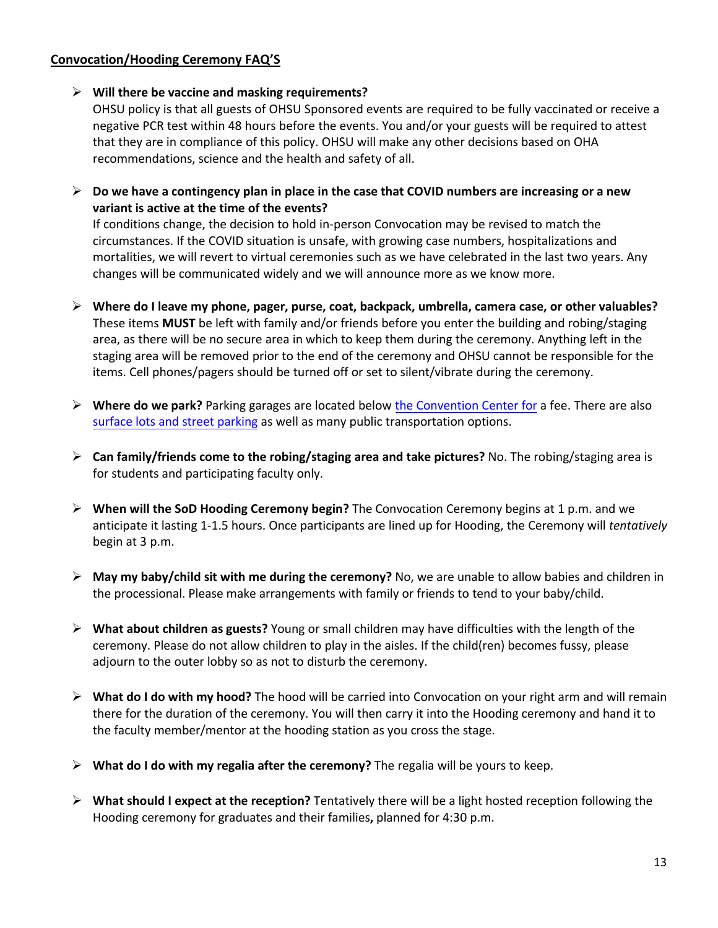## **Convocation/Hooding Ceremony FAQ'S**

## **Will there be vaccine and masking requirements?**

OHSU policy is that all guests of OHSU Sponsored events are required to be fully vaccinated or receive a negative PCR test within 48 hours before the events. You and/or your guests will be required to attest that they are in compliance of this policy. OHSU will make any other decisions based on OHA recommendations, science and the health and safety of all.

 **Do we have a contingency plan in place in the case that COVID numbers are increasing or a new variant is active at the time of the events?**

If conditions change, the decision to hold in-person Convocation may be revised to match the circumstances. If the COVID situation is unsafe, with growing case numbers, hospitalizations and mortalities, we will revert to virtual ceremonies such as we have celebrated in the last two years. Any changes will be communicated widely and we will announce more as we know more.

- **Where do I leave my phone, pager, purse, coat, backpack, umbrella, camera case, or other valuables?** These items **MUST** be left with family and/or friends before you enter the building and robing/staging area, as there will be no secure area in which to keep them during the ceremony. Anything left in the staging area will be removed prior to the end of the ceremony and OHSU cannot be responsible for the items. Cell phones/pagers should be turned off or set to silent/vibrate during the ceremony.
- **Where do we park?** Parking garages are located below [the Convention Center for](http://www.oregoncc.org/DirectionsAndParking/) a fee. There are also [surface lots and street parking](https://www.ohsu.edu/sites/default/files/2020-01/OCC-Parking-Map.pdf) as well as many public transportation options.
- **Can family/friends come to the robing/staging area and take pictures?** No. The robing/staging area is for students and participating faculty only.
- **When will the SoD Hooding Ceremony begin?** The Convocation Ceremony begins at 1 p.m. and we anticipate it lasting 1-1.5 hours. Once participants are lined up for Hooding, the Ceremony will *tentatively* begin at 3 p.m.
- **May my baby/child sit with me during the ceremony?** No, we are unable to allow babies and children in the processional. Please make arrangements with family or friends to tend to your baby/child.
- **What about children as guests?** Young or small children may have difficulties with the length of the ceremony. Please do not allow children to play in the aisles. If the child(ren) becomes fussy, please adjourn to the outer lobby so as not to disturb the ceremony.
- **What do I do with my hood?** The hood will be carried into Convocation on your right arm and will remain there for the duration of the ceremony. You will then carry it into the Hooding ceremony and hand it to the faculty member/mentor at the hooding station as you cross the stage.
- **What do I do with my regalia after the ceremony?** The regalia will be yours to keep.
- **What should I expect at the reception?** Tentatively there will be a light hosted reception following the Hooding ceremony for graduates and their families**,** planned for 4:30 p.m.